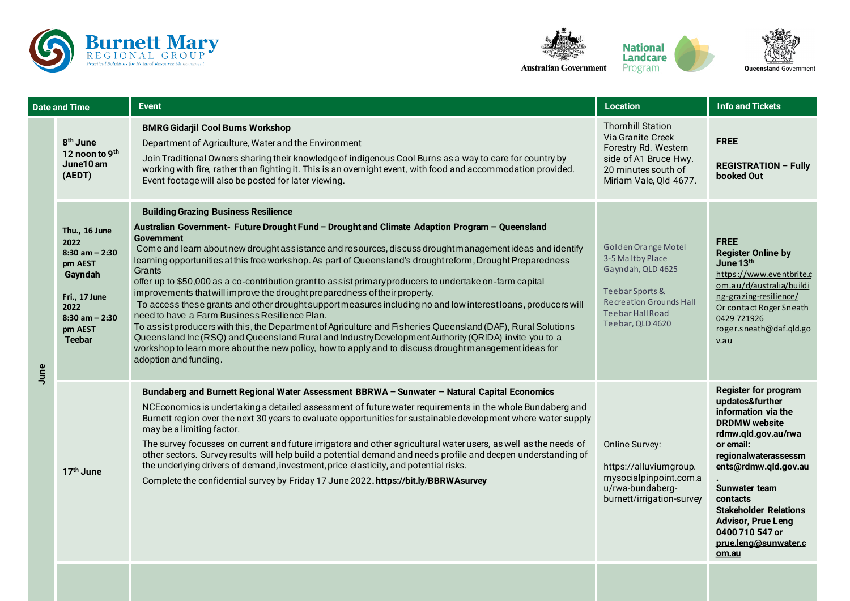



| Date and Time |                                                                                                                                              | <b>Event</b>                                                                                                                                                                                                                                                                                                                                                                                                                                                                                                                                                                                                                                                                                                                                                                                                                                                                                                                                                                                                                                                                                                                 | <b>Location</b>                                                                                                                                                  | <b>Info and Tickets</b>                                                                                                                                                                                                                                                                                                       |
|---------------|----------------------------------------------------------------------------------------------------------------------------------------------|------------------------------------------------------------------------------------------------------------------------------------------------------------------------------------------------------------------------------------------------------------------------------------------------------------------------------------------------------------------------------------------------------------------------------------------------------------------------------------------------------------------------------------------------------------------------------------------------------------------------------------------------------------------------------------------------------------------------------------------------------------------------------------------------------------------------------------------------------------------------------------------------------------------------------------------------------------------------------------------------------------------------------------------------------------------------------------------------------------------------------|------------------------------------------------------------------------------------------------------------------------------------------------------------------|-------------------------------------------------------------------------------------------------------------------------------------------------------------------------------------------------------------------------------------------------------------------------------------------------------------------------------|
| June          | 8 <sup>th</sup> June<br>12 noon to 9th<br>June10 am<br>(AEDT)                                                                                | <b>BMRG Gidarjil Cool Burns Workshop</b><br>Department of Agriculture, Water and the Environment<br>Join Traditional Owners sharing their knowledge of indigenous Cool Burns as a way to care for country by<br>working with fire, rather than fighting it. This is an overnight event, with food and accommodation provided.<br>Event footage will also be posted for later viewing.                                                                                                                                                                                                                                                                                                                                                                                                                                                                                                                                                                                                                                                                                                                                        | <b>Thornhill Station</b><br>Via Granite Creek<br>Forestry Rd. Western<br>side of A1 Bruce Hwy.<br>20 minutes south of<br>Miriam Vale, Qld 4677.                  | <b>FREE</b><br><b>REGISTRATION - Fully</b><br>booked Out                                                                                                                                                                                                                                                                      |
|               | Thu., 16 June<br>2022<br>$8:30$ am $- 2:30$<br>pm AEST<br>Gayndah<br>Fri., 17 June<br>2022<br>$8:30$ am $- 2:30$<br>pm AEST<br><b>Teebar</b> | <b>Building Grazing Business Resilience</b><br>Australian Government- Future Drought Fund - Drought and Climate Adaption Program - Queensland<br><b>Government</b><br>Come and learn about new drought assistance and resources, discuss drought management ideas and identify<br>learning opportunities at this free workshop. As part of Queensland's drought reform, Drought Preparedness<br>Grants<br>offer up to \$50,000 as a co-contribution grant to assist primary producers to undertake on-farm capital<br>improvements that will improve the drought preparedness of their property.<br>To access these grants and other drought support measures including no and low interest loans, producers will<br>need to have a Farm Business Resilience Plan.<br>To assist producers with this, the Department of Agriculture and Fisheries Queensland (DAF), Rural Solutions<br>Queensland Inc (RSQ) and Queensland Rural and Industry Development Authority (QRIDA) invite you to a<br>workshop to learn more about the new policy, how to apply and to discuss drought management ideas for<br>adoption and funding. | Golden Orange Motel<br>3-5 Maltby Place<br>Gayndah, QLD 4625<br>Teebar Sports &<br><b>Recreation Grounds Hall</b><br><b>Teebar Hall Road</b><br>Teebar, QLD 4620 | <b>FREE</b><br><b>Register Online by</b><br>June 13th<br>https://www.eventbrite.c<br>om.au/d/australia/buildi<br>ng-grazing-resilience/<br>Or contact Roger Sneath<br>0429 721926<br>roger.sneath@daf.qld.go<br>v.au                                                                                                          |
|               | 17th June                                                                                                                                    | Bundaberg and Burnett Regional Water Assessment BBRWA - Sunwater - Natural Capital Economics<br>NCEconomics is undertaking a detailed assessment of future water requirements in the whole Bundaberg and<br>Burnett region over the next 30 years to evaluate opportunities for sustainable development where water supply<br>may be a limiting factor.<br>The survey focusses on current and future irrigators and other agricultural water users, as well as the needs of<br>other sectors. Survey results will help build a potential demand and needs profile and deepen understanding of<br>the underlying drivers of demand, investment, price elasticity, and potential risks.<br>Complete the confidential survey by Friday 17 June 2022. https://bit.ly/BBRWAsurvey                                                                                                                                                                                                                                                                                                                                                 | <b>Online Survey:</b><br>https://alluviumgroup.<br>mysocialpinpoint.com.a<br>u/rwa-bundaberg-<br>burnett/irrigation-survey                                       | <b>Register for program</b><br>updates&further<br>information via the<br><b>DRDMW</b> website<br>rdmw.qld.gov.au/rwa<br>or email:<br>regionalwaterassessm<br>ents@rdmw.qld.gov.au<br>Sunwater team<br>contacts<br><b>Stakeholder Relations</b><br><b>Advisor, Prue Leng</b><br>0400710547 or<br>prue.leng@sunwater.c<br>om.au |
|               |                                                                                                                                              |                                                                                                                                                                                                                                                                                                                                                                                                                                                                                                                                                                                                                                                                                                                                                                                                                                                                                                                                                                                                                                                                                                                              |                                                                                                                                                                  |                                                                                                                                                                                                                                                                                                                               |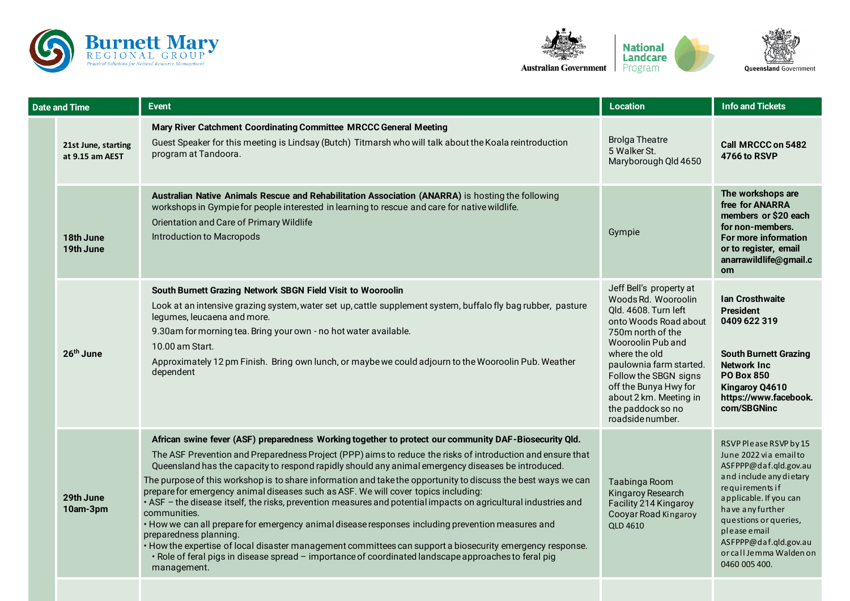





|  | <b>Date and Time</b>                   | <b>Event</b>                                                                                                                                                                                                                                                                                                                                                                                                                                                                                                                                                                                                                                                                                                                                                                                                                                                                                                                                                                                                                           | <b>Location</b>                                                                                                                                                                                                                                                                                            | <b>Info and Tickets</b>                                                                                                                                                                                                                                                             |
|--|----------------------------------------|----------------------------------------------------------------------------------------------------------------------------------------------------------------------------------------------------------------------------------------------------------------------------------------------------------------------------------------------------------------------------------------------------------------------------------------------------------------------------------------------------------------------------------------------------------------------------------------------------------------------------------------------------------------------------------------------------------------------------------------------------------------------------------------------------------------------------------------------------------------------------------------------------------------------------------------------------------------------------------------------------------------------------------------|------------------------------------------------------------------------------------------------------------------------------------------------------------------------------------------------------------------------------------------------------------------------------------------------------------|-------------------------------------------------------------------------------------------------------------------------------------------------------------------------------------------------------------------------------------------------------------------------------------|
|  | 21st June, starting<br>at 9.15 am AEST | Mary River Catchment Coordinating Committee MRCCC General Meeting<br>Guest Speaker for this meeting is Lindsay (Butch) Titmarsh who will talk about the Koala reintroduction<br>program at Tandoora.                                                                                                                                                                                                                                                                                                                                                                                                                                                                                                                                                                                                                                                                                                                                                                                                                                   | <b>Brolga Theatre</b><br>5 Walker St.<br>Maryborough Qld 4650                                                                                                                                                                                                                                              | <b>Call MRCCC on 5482</b><br><b>4766 to RSVP</b>                                                                                                                                                                                                                                    |
|  | 18th June<br>19th June                 | Australian Native Animals Rescue and Rehabilitation Association (ANARRA) is hosting the following<br>workshops in Gympie for people interested in learning to rescue and care for native wildlife.<br>Orientation and Care of Primary Wildlife<br>Introduction to Macropods                                                                                                                                                                                                                                                                                                                                                                                                                                                                                                                                                                                                                                                                                                                                                            | Gympie                                                                                                                                                                                                                                                                                                     | The workshops are<br>free for ANARRA<br>members or \$20 each<br>for non-members.<br>For more information<br>or to register, email<br>anarrawildlife@gmail.c<br><b>om</b>                                                                                                            |
|  | 26 <sup>th</sup> June                  | South Burnett Grazing Network SBGN Field Visit to Wooroolin<br>Look at an intensive grazing system, water set up, cattle supplement system, buffalo fly bag rubber, pasture<br>legumes, leucaena and more.<br>9.30am for morning tea. Bring your own - no hot water available.<br>10.00 am Start.<br>Approximately 12 pm Finish. Bring own lunch, or maybe we could adjourn to the Wooroolin Pub. Weather<br>dependent                                                                                                                                                                                                                                                                                                                                                                                                                                                                                                                                                                                                                 | Jeff Bell's property at<br>Woods Rd. Wooroolin<br>Old. 4608. Turn left<br>onto Woods Road about<br>750m north of the<br>Wooroolin Pub and<br>where the old<br>paulownia farm started.<br>Follow the SBGN signs<br>off the Bunya Hwy for<br>about 2 km. Meeting in<br>the paddock so no<br>roadside number. | <b>Ian Crosthwaite</b><br><b>President</b><br>0409 622 319<br><b>South Burnett Grazing</b><br><b>Network Inc.</b><br><b>PO Box 850</b><br>Kingaroy Q4610<br>https://www.facebook.<br>com/SBGNinc                                                                                    |
|  | 29th June<br>10am-3pm                  | African swine fever (ASF) preparedness Working together to protect our community DAF-Biosecurity Qld.<br>The ASF Prevention and Preparedness Project (PPP) aims to reduce the risks of introduction and ensure that<br>Queensland has the capacity to respond rapidly should any animal emergency diseases be introduced.<br>The purpose of this workshop is to share information and take the opportunity to discuss the best ways we can<br>prepare for emergency animal diseases such as ASF. We will cover topics including:<br>• ASF - the disease itself, the risks, prevention measures and potential impacts on agricultural industries and<br>communities.<br>• How we can all prepare for emergency animal disease responses including prevention measures and<br>preparedness planning.<br>• How the expertise of local disaster management committees can support a biosecurity emergency response.<br>· Role of feral pigs in disease spread - importance of coordinated landscape approaches to feral pig<br>management. | Taabinga Room<br>Kingaroy Research<br>Facility 214 Kingaroy<br>Cooyar Road Kingaroy<br><b>QLD 4610</b>                                                                                                                                                                                                     | RSVP Please RSVP by 15<br>June 2022 via email to<br>ASFPPP@daf.qld.gov.au<br>and include any dietary<br>requirements if<br>applicable. If you can<br>have any further<br>questions or queries,<br>please email<br>ASFPPP@daf.gld.gov.au<br>or call Jemma Walden on<br>0460 005 400. |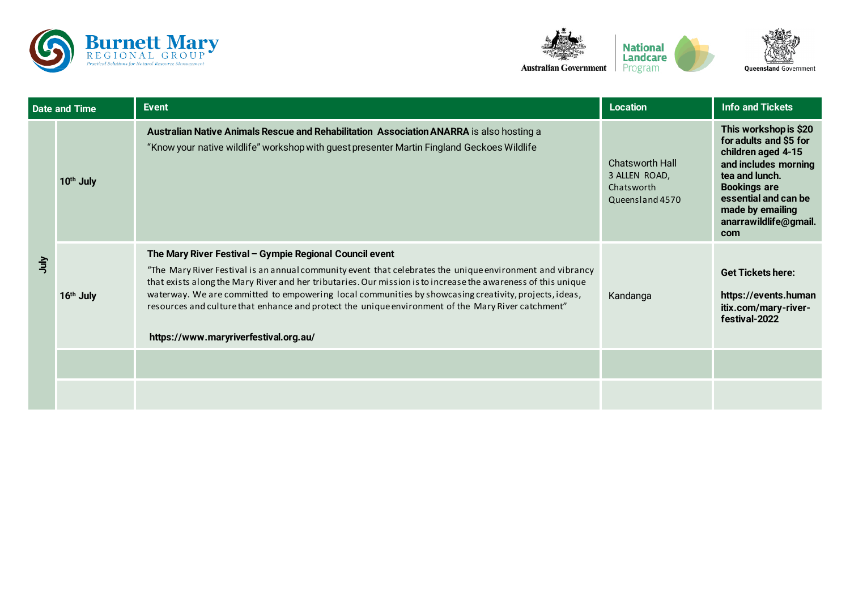



| <b>Date and Time</b> |                       | <b>Event</b>                                                                                                                                                                                                                                                                                                                                                                                                                                                                                                                                  | <b>Location</b>                                                   | <b>Info and Tickets</b>                                                                                                                                                                                            |
|----------------------|-----------------------|-----------------------------------------------------------------------------------------------------------------------------------------------------------------------------------------------------------------------------------------------------------------------------------------------------------------------------------------------------------------------------------------------------------------------------------------------------------------------------------------------------------------------------------------------|-------------------------------------------------------------------|--------------------------------------------------------------------------------------------------------------------------------------------------------------------------------------------------------------------|
| うっ                   | 10th July             | Australian Native Animals Rescue and Rehabilitation Association ANARRA is also hosting a<br>"Know your native wildlife" workshop with guest presenter Martin Fingland Geckoes Wildlife                                                                                                                                                                                                                                                                                                                                                        | Chatsworth Hall<br>3 ALLEN ROAD,<br>Chatsworth<br>Queensland 4570 | This workshop is \$20<br>for adults and \$5 for<br>children aged 4-15<br>and includes morning<br>tea and lunch.<br><b>Bookings are</b><br>essential and can be<br>made by emailing<br>anarrawildlife@gmail.<br>com |
|                      | 16 <sup>th</sup> July | The Mary River Festival - Gympie Regional Council event<br>"The Mary River Festival is an annual community event that celebrates the unique environment and vibrancy<br>that exists along the Mary River and her tributaries. Our mission is to increase the awareness of this unique<br>waterway. We are committed to empowering local communities by showcasing creativity, projects, ideas,<br>resources and culture that enhance and protect the unique environment of the Mary River catchment"<br>https://www.maryriverfestival.org.au/ | Kandanga                                                          | <b>Get Tickets here:</b><br>https://events.human<br>itix.com/mary-river-<br>festival-2022                                                                                                                          |
|                      |                       |                                                                                                                                                                                                                                                                                                                                                                                                                                                                                                                                               |                                                                   |                                                                                                                                                                                                                    |
|                      |                       |                                                                                                                                                                                                                                                                                                                                                                                                                                                                                                                                               |                                                                   |                                                                                                                                                                                                                    |